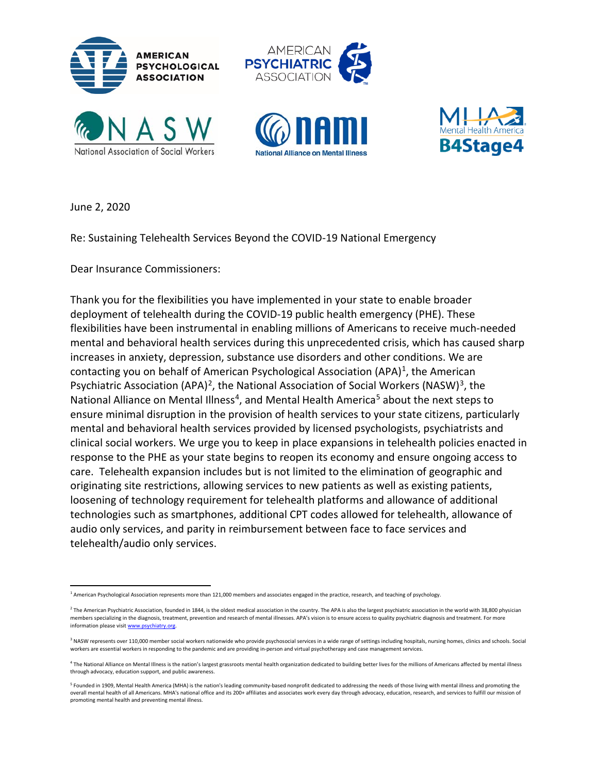



June 2, 2020

Re: Sustaining Telehealth Services Beyond the COVID-19 National Emergency

Dear Insurance Commissioners:

Thank you for the flexibilities you have implemented in your state to enable broader deployment of telehealth during the COVID-19 public health emergency (PHE). These flexibilities have been instrumental in enabling millions of Americans to receive much-needed mental and behavioral health services during this unprecedented crisis, which has caused sharp increases in anxiety, depression, substance use disorders and other conditions. We are contacting you on behalf of American Psychological Association  $(APA)^1$ , the American Psychiatric Association (APA)<sup>[2](#page-0-1)</sup>, the National Association of Social Workers (NASW)<sup>[3](#page-0-2)</sup>, the National Alliance on Mental Illness<sup>[4](#page-0-3)</sup>, and Mental Health America<sup>[5](#page-0-4)</sup> about the next steps to ensure minimal disruption in the provision of health services to your state citizens, particularly mental and behavioral health services provided by licensed psychologists, psychiatrists and clinical social workers. We urge you to keep in place expansions in telehealth policies enacted in response to the PHE as your state begins to reopen its economy and ensure ongoing access to care. Telehealth expansion includes but is not limited to the elimination of geographic and originating site restrictions, allowing services to new patients as well as existing patients, loosening of technology requirement for telehealth platforms and allowance of additional technologies such as smartphones, additional CPT codes allowed for telehealth, allowance of audio only services, and parity in reimbursement between face to face services and telehealth/audio only services.

<span id="page-0-0"></span><sup>&</sup>lt;sup>1</sup> American Psychological Association represents more than 121,000 members and associates engaged in the practice, research, and teaching of psychology.

<span id="page-0-1"></span> $2$  The American Psychiatric Association, founded in 1844, is the oldest medical association in the country. The APA is also the largest psychiatric association in the world with 38,800 physician members specializing in the diagnosis, treatment, prevention and research of mental illnesses. APA's vision is to ensure access to quality psychiatric diagnosis and treatment. For more information please visit [www.psychiatry.org.](https://www.psychiatry.org/newsroom/news-releases/www.psychiatry.org)

<span id="page-0-2"></span> $3$  NASW represents over 110,000 member social workers nationwide who provide psychosocial services in a wide range of settings including hospitals, nursing homes, clinics and schools. Social workers are essential workers in responding to the pandemic and are providing in-person and virtual psychotherapy and case management services.

<span id="page-0-3"></span><sup>4</sup> The National Alliance on Mental Illness is the nation's largest grassroots mental health organization dedicated to building better lives for the millions of Americans affected by mental illness through advocacy, education support, and public awareness.

<span id="page-0-4"></span><sup>&</sup>lt;sup>5</sup> Founded in 1909, Mental Health America (MHA) is the nation's leading community-based nonprofit dedicated to addressing the needs of those living with mental illness and promoting the overall mental health of all Americans. MHA's national office and its 200+ affiliates and associates work every day through advocacy, education, research, and services to fulfill our mission of promoting mental health and preventing mental illness.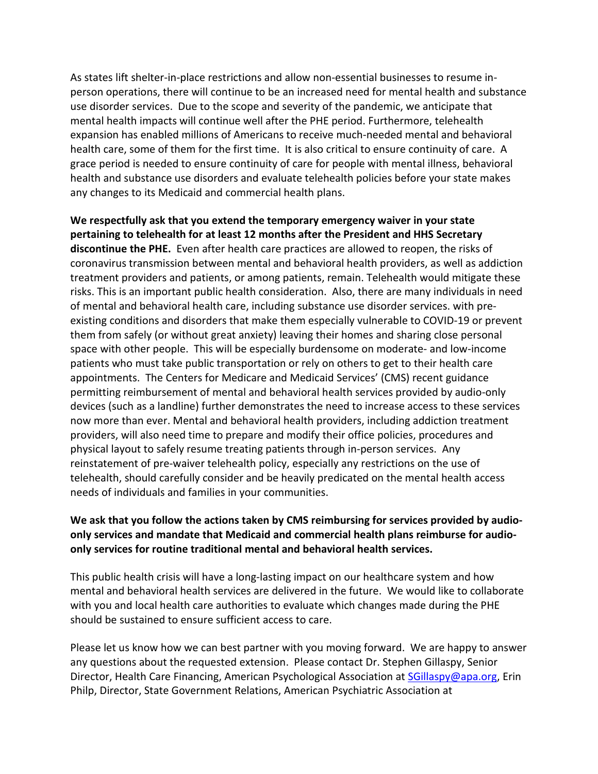As states lift shelter-in-place restrictions and allow non-essential businesses to resume inperson operations, there will continue to be an increased need for mental health and substance use disorder services. Due to the scope and severity of the pandemic, we anticipate that mental health impacts will continue well after the PHE period. Furthermore, telehealth expansion has enabled millions of Americans to receive much-needed mental and behavioral health care, some of them for the first time. It is also critical to ensure continuity of care. A grace period is needed to ensure continuity of care for people with mental illness, behavioral health and substance use disorders and evaluate telehealth policies before your state makes any changes to its Medicaid and commercial health plans.

**We respectfully ask that you extend the temporary emergency waiver in your state pertaining to telehealth for at least 12 months after the President and HHS Secretary discontinue the PHE.** Even after health care practices are allowed to reopen, the risks of coronavirus transmission between mental and behavioral health providers, as well as addiction treatment providers and patients, or among patients, remain. Telehealth would mitigate these risks. This is an important public health consideration. Also, there are many individuals in need of mental and behavioral health care, including substance use disorder services. with preexisting conditions and disorders that make them especially vulnerable to COVID-19 or prevent them from safely (or without great anxiety) leaving their homes and sharing close personal space with other people. This will be especially burdensome on moderate- and low-income patients who must take public transportation or rely on others to get to their health care appointments. The Centers for Medicare and Medicaid Services' (CMS) recent guidance permitting reimbursement of mental and behavioral health services provided by audio-only devices (such as a landline) further demonstrates the need to increase access to these services now more than ever. Mental and behavioral health providers, including addiction treatment providers, will also need time to prepare and modify their office policies, procedures and physical layout to safely resume treating patients through in-person services. Any reinstatement of pre-waiver telehealth policy, especially any restrictions on the use of telehealth, should carefully consider and be heavily predicated on the mental health access needs of individuals and families in your communities.

## **We ask that you follow the actions taken by CMS reimbursing for services provided by audioonly services and mandate that Medicaid and commercial health plans reimburse for audioonly services for routine traditional mental and behavioral health services.**

This public health crisis will have a long-lasting impact on our healthcare system and how mental and behavioral health services are delivered in the future. We would like to collaborate with you and local health care authorities to evaluate which changes made during the PHE should be sustained to ensure sufficient access to care.

Please let us know how we can best partner with you moving forward. We are happy to answer any questions about the requested extension. Please contact Dr. Stephen Gillaspy, Senior Director, Health Care Financing, American Psychological Association a[t SGillaspy@apa.org,](mailto:SGillaspy@apa.org) Erin Philp, Director, State Government Relations, American Psychiatric Association at